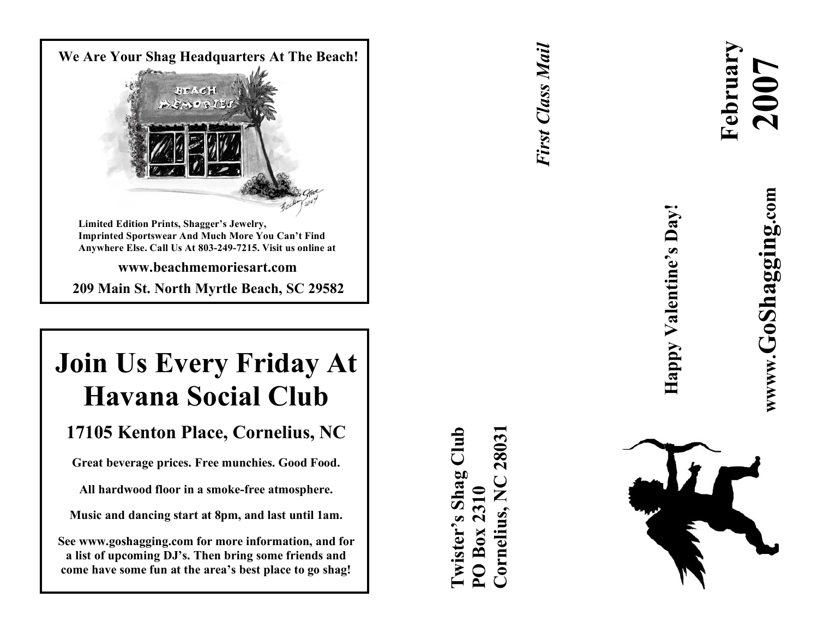

# **Join Us Every Friday At Havana Social Club**

# 17105 Kenton Place, Cornelius, NC

Great beverage prices. Free munchies. Good Food.

All hardwood floor in a smoke-free atmosphere.

Music and dancing start at 8pm, and last until 1am.

**S e e w w w .gos haggi ng. com for mor e i n for mat ion , an d for** a list of upcoming DJ's. Then bring some friends and come have some fun at the area's best place to go shag!

*First Class Mail* **First Class Mail** 

**Cornelius, NC 28031**្យព្យ **Twister's Shag Club** 2803 Twister's Shag 2310 **PO Box 2310** Cornelius, Box



**February** 

**2007**



**Happy Valentine's Day!**

Happy Valentine's Day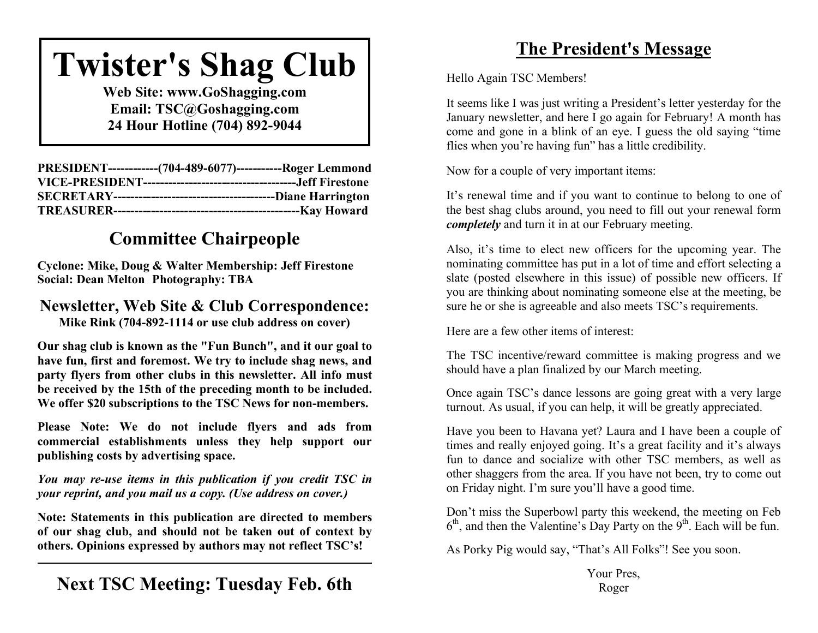# **Twister's Shag Club**

**Web Site: www.GoShagging.com Email: TSC@Goshagging.com 24 Hour Hotline (704) 892-9044**

| PRESIDENT-------------(704-489-6077)------------Roger Lemmond |  |
|---------------------------------------------------------------|--|
|                                                               |  |
|                                                               |  |
|                                                               |  |

# **Committee Chairpeople**

**Cyclone: Mike, Doug & Walter Membership: Jeff Firestone Social: Dean Melton Photography: TBA**

#### **Newsletter, Web Site & Club Correspondence: Mike Rink (704-892-1114 or use club address on cover)**

**Our shag club is known as the "Fun Bunch", and it our goal to have fun, first and foremost. We try to include shag news, and party flyers from other clubs in this newsletter. All info must be received by the 15th of the preceding month to be included. We offer \$20 subscriptions to the TSC News for non-members.**

**Please Note: We do not include flyers and ads from commercial establishments unless they help support our publishing costs by advertising space.**

*You may re-use items in this publication if you credit TSC in your reprint, and you mail us a copy. (Use address on cover.)*

**Note: Statements in this publication are directed to members of our shag club, and should not be taken out of context by others. Opinions expressed by authors may not reflect TSC's!**

# **The President's Message**

Hello Again TSC Members!

It seems like I was just writing a President's letter yesterday for the January newsletter, and here I go again for February! A month has come and gone in a blink of an eye. I guess the old saying "time flies when you're having fun" has a little credibility.

Now for a couple of very important items:

It's renewal time and if you want to continue to belong to one of the best shag clubs around, you need to fill out your renewal form *completely* and turn it in at our February meeting.

Also, it's time to elect new officers for the upcoming year. The nominating committee has put in a lot of time and effort selecting a slate (posted elsewhere in this issue) of possible new officers. If you are thinking about nominating someone else at the meeting, be sure he or she is agreeable and also meets TSC's requirements.

Here are a few other items of interest:

The TSC incentive/reward committee is making progress and we should have a plan finalized by our March meeting.

Once again TSC's dance lessons are going great with a very large turnout. As usual, if you can help, it will be greatly appreciated.

Have you been to Havana yet? Laura and I have been a couple of times and really enjoyed going. It's a great facility and it's always fun to dance and socialize with other TSC members, as well as other shaggers from the area. If you have not been, try to come out on Friday night. I'm sure you'll have a good time.

Don't miss the Superbowl party this weekend, the meeting on Feb  $6<sup>th</sup>$ , and then the Valentine's Day Party on the  $9<sup>th</sup>$ . Each will be fun.

As Porky Pig would say, "That's All Folks"! See you soon.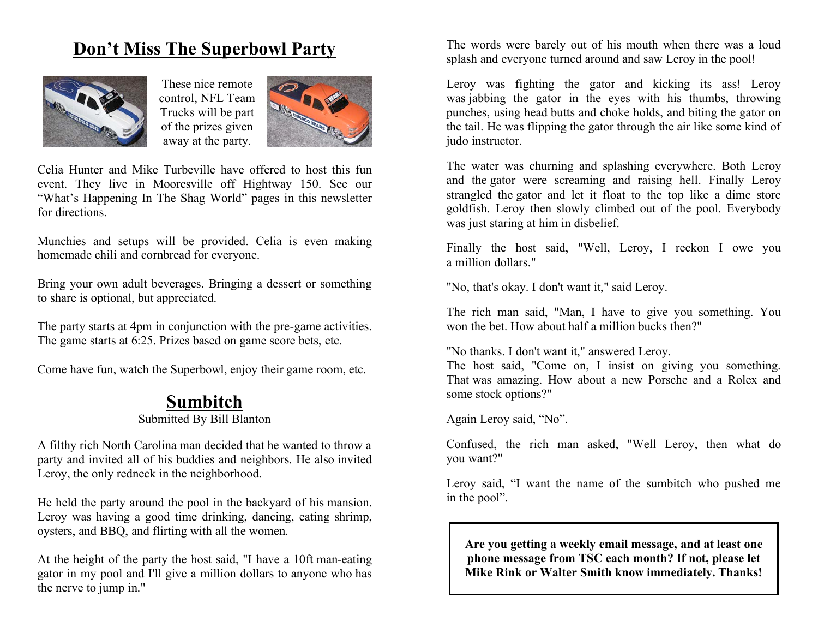# **Don't Miss The Superbowl Party**



These nice remote control, NFL Team Trucks will be part of the prizes given away at the party.



Celia Hunter and Mike Turbeville have offered to host this fun event. They live in Mooresville off Hightway 150. See our "What's Happening In The Shag World" pages in this newsletter for directions.

Munchies and setups will be provided. Celia is even making homemade chili and cornbread for everyone.

Bring your own adult beverages. Bringing a dessert or something to share is optional, but appreciated.

The party starts at 4pm in conjunction with the pre-game activities. The game starts at 6:25. Prizes based on game score bets, etc.

Come have fun, watch the Superbowl, enjoy their game room, etc.

### **Sumbitch**

#### Submitted By Bill Blanton

A filthy rich North Carolina man decided that he wanted to throw a party and invited all of his buddies and neighbors. He also invited Leroy, the only redneck in the neighborhood.

He held the party around the pool in the backyard of his mansion. Leroy was having a good time drinking, dancing, eating shrimp, oysters, and BBQ, and flirting with all the women.

At the height of the party the host said, "I have a 10ft man-eating gator in my pool and I'll give a million dollars to anyone who has the nerve to jump in."

The words were barely out of his mouth when there was a loud splash and everyone turned around and saw Leroy in the pool!

Leroy was fighting the gator and kicking its ass! Leroy was jabbing the gator in the eyes with his thumbs, throwing punches, using head butts and choke holds, and biting the gator on the tail. He was flipping the gator through the air like some kind of judo instructor.

The water was churning and splashing everywhere. Both Leroy and the gator were screaming and raising hell. Finally Leroy strangled the gator and let it float to the top like a dime store goldfish. Leroy then slowly climbed out of the pool. Everybody was just staring at him in disbelief.

Finally the host said, "Well, Leroy, I reckon I owe you a million dollars."

"No, that's okay. I don't want it," said Leroy.

The rich man said, "Man, I have to give you something. You won the bet. How about half a million bucks then?"

"No thanks. I don't want it," answered Leroy.

The host said, "Come on, I insist on giving you something. That was amazing. How about a new Porsche and a Rolex and some stock options?"

Again Leroy said, "No".

Confused, the rich man asked, "Well Leroy, then what do you want?"

Leroy said, "I want the name of the sumbitch who pushed me in the pool".

**Are you getting a weekly email message, and at least one phone message from TSC each month? If not, please let Mike Rink or Walter Smith know immediately. Thanks!**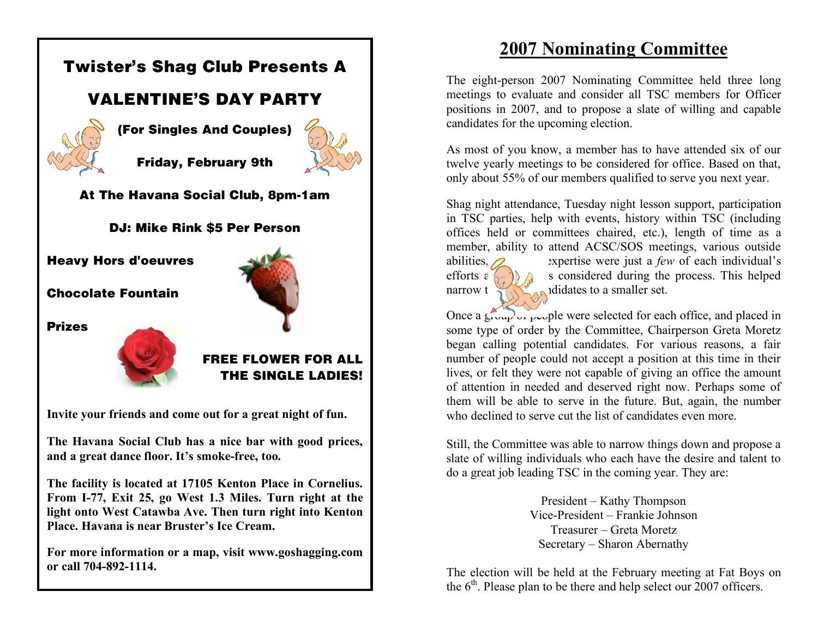

**For more information or a map, visit www.goshagging.com or call 704-892-1114.**

# **2007 Nominating Committee**

The eight-person 2007 Nominating Committee held three long meetings to evaluate and consider all TSC members for Officer positions in 2007, and to propose a slate of willing and capable candidates for the upcoming election.

As most of you know, a member has to have attended six of our twelve yearly meetings to be considered for office. Based on that, only about 55% of our members qualified to serve you next year.

Shag night attendance, Tuesday night lesson support, participation in TSC parties, help with events, history within TSC (including offices held or committees chaired, etc.), length of time as a member, ability to attend ACSC/SOS meetings, various outside abilities,  $\alpha$  expertise were just a *few* of each individual's

efforts  $\epsilon \left( \frac{1}{2} \right)$  and a subset considered during the process. This helped narrow the list of candidates to a smaller set.

Once a group of people were selected for each office, and placed in some type of order by the Committee, Chairperson Greta Moretz began calling potential candidates. For various reasons, a fair number of people could not accept a position at this time in their lives, or felt they were not capable of giving an office the amount of attention in needed and deserved right now. Perhaps some of them will be able to serve in the future. But, again, the number who declined to serve cut the list of candidates even more.

Still, the Committee was able to narrow things down and propose a slate of willing individuals who each have the desire and talent to do a great job leading TSC in the coming year. They are:

> President – Kathy Thompson Vice-President – Frankie Johnson Treasurer – Greta Moretz Secretary – Sharon Abernathy

The election will be held at the February meeting at Fat Boys on the  $6<sup>th</sup>$ . Please plan to be there and help select our 2007 officers.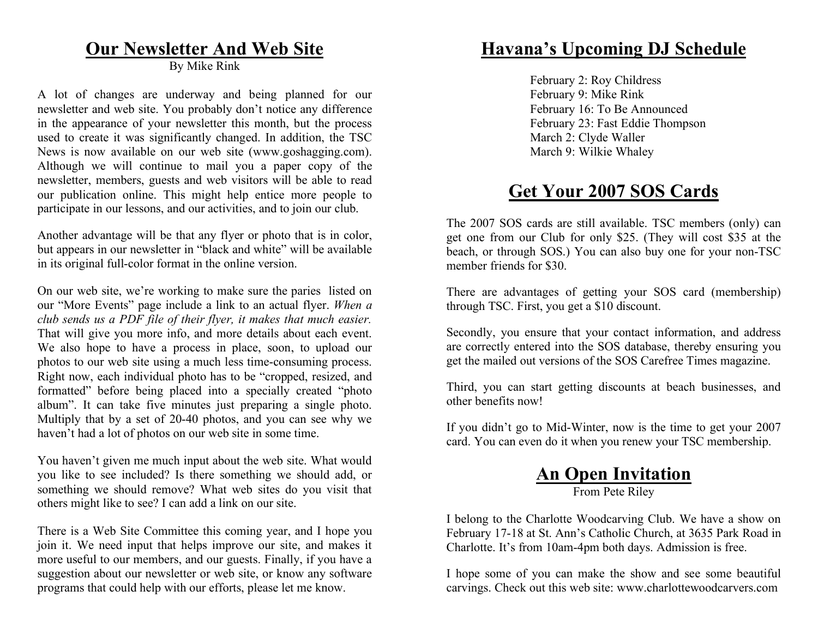### **Our Newsletter And Web Site**

By Mike Rink

A lot of changes are underway and being planned for our newsletter and web site. You probably don't notice any difference in the appearance of your newsletter this month, but the process used to create it was significantly changed. In addition, the TSC News is now available on our web site (www.goshagging.com). Although we will continue to mail you a paper copy of the newsletter, members, guests and web visitors will be able to read our publication online. This might help entice more people to participate in our lessons, and our activities, and to join our club.

Another advantage will be that any flyer or photo that is in color, but appears in our newsletter in "black and white" will be available in its original full-color format in the online version.

On our web site, we're working to make sure the paries listed on our "More Events" page include a link to an actual flyer. *When a club sends us a PDF file of their flyer, it makes that much easier.* That will give you more info, and more details about each event. We also hope to have a process in place, soon, to upload our photos to our web site using a much less time-consuming process. Right now, each individual photo has to be "cropped, resized, and formatted" before being placed into a specially created "photo album". It can take five minutes just preparing a single photo. Multiply that by a set of 20-40 photos, and you can see why we haven't had a lot of photos on our web site in some time.

You haven't given me much input about the web site. What would you like to see included? Is there something we should add, or something we should remove? What web sites do you visit that others might like to see? I can add a link on our site.

There is a Web Site Committee this coming year, and I hope you join it. We need input that helps improve our site, and makes it more useful to our members, and our guests. Finally, if you have a suggestion about our newsletter or web site, or know any software programs that could help with our efforts, please let me know.

### **Havana's Upcoming DJ Schedule**

February 2: Roy Childress February 9: Mike Rink February 16: To Be Announced February 23: Fast Eddie Thompson March 2: Clyde Waller March 9: Wilkie Whaley

## **Get Your 2007 SOS Cards**

The 2007 SOS cards are still available. TSC members (only) can get one from our Club for only \$25. (They will cost \$35 at the beach, or through SOS.) You can also buy one for your non-TSC member friends for \$30.

There are advantages of getting your SOS card (membership) through TSC. First, you get a \$10 discount.

Secondly, you ensure that your contact information, and address are correctly entered into the SOS database, thereby ensuring you get the mailed out versions of the SOS Carefree Times magazine.

Third, you can start getting discounts at beach businesses, and other benefits now!

If you didn't go to Mid-Winter, now is the time to get your 2007 card. You can even do it when you renew your TSC membership.

#### **An Open Invitation** From Pete Riley

I belong to the Charlotte Woodcarving Club. We have a show on February 17-18 at St. Ann's Catholic Church, at 3635 Park Road in Charlotte. It's from 10am-4pm both days. Admission is free.

I hope some of you can make the show and see some beautiful carvings. Check out this web site: www.charlottewoodcarvers.com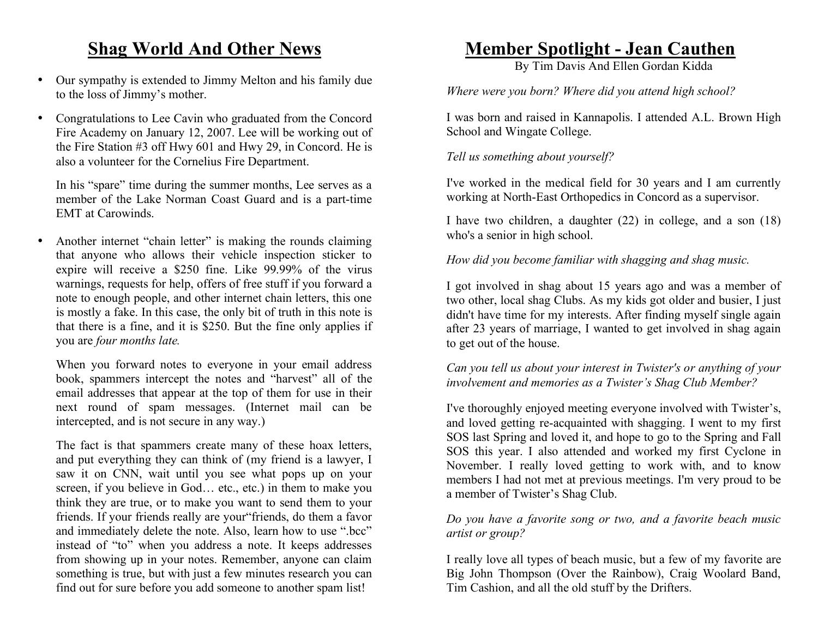# **Shag World And Other News**

- Our sympathy is extended to Jimmy Melton and his family due to the loss of Jimmy's mother.
- Congratulations to Lee Cavin who graduated from the Concord Fire Academy on January 12, 2007. Lee will be working out of the Fire Station #3 off Hwy 601 and Hwy 29, in Concord. He is also a volunteer for the Cornelius Fire Department.

In his "spare" time during the summer months, Lee serves as a member of the Lake Norman Coast Guard and is a part-time EMT at Carowinds.

• Another internet "chain letter" is making the rounds claiming that anyone who allows their vehicle inspection sticker to expire will receive a \$250 fine. Like 99.99% of the virus warnings, requests for help, offers of free stuff if you forward a note to enough people, and other internet chain letters, this one is mostly a fake. In this case, the only bit of truth in this note is that there is a fine, and it is \$250. But the fine only applies if you are *four months late.*

When you forward notes to everyone in your email address book, spammers intercept the notes and "harvest" all of the email addresses that appear at the top of them for use in their next round of spam messages. (Internet mail can be intercepted, and is not secure in any way.)

The fact is that spammers create many of these hoax letters, and put everything they can think of (my friend is a lawyer, I saw it on CNN, wait until you see what pops up on your screen, if you believe in God… etc., etc.) in them to make you think they are true, or to make you want to send them to your friends. If your friends really are your"friends, do them a favor and immediately delete the note. Also, learn how to use ".bcc" instead of "to" when you address a note. It keeps addresses from showing up in your notes. Remember, anyone can claim something is true, but with just a few minutes research you can find out for sure before you add someone to another spam list!

### **Member Spotlight - Jean Cauthen**

By Tim Davis And Ellen Gordan Kidda

*Where were you born? Where did you attend high school?*

I was born and raised in Kannapolis. I attended A.L. Brown High School and Wingate College.

*Tell us something about yourself?*

I've worked in the medical field for 30 years and I am currently working at North-East Orthopedics in Concord as a supervisor.

I have two children, a daughter (22) in college, and a son (18) who's a senior in high school.

*How did you become familiar with shagging and shag music.*

I got involved in shag about 15 years ago and was a member of two other, local shag Clubs. As my kids got older and busier, I just didn't have time for my interests. After finding myself single again after 23 years of marriage, I wanted to get involved in shag again to get out of the house.

*Can you tell us about your interest in Twister's or anything of your involvement and memories as a Twister's Shag Club Member?*

I've thoroughly enjoyed meeting everyone involved with Twister's, and loved getting re-acquainted with shagging. I went to my first SOS last Spring and loved it, and hope to go to the Spring and Fall SOS this year. I also attended and worked my first Cyclone in November. I really loved getting to work with, and to know members I had not met at previous meetings. I'm very proud to be a member of Twister's Shag Club.

#### *Do you have a favorite song or two, and a favorite beach music artist or group?*

I really love all types of beach music, but a few of my favorite are Big John Thompson (Over the Rainbow), Craig Woolard Band, Tim Cashion, and all the old stuff by the Drifters.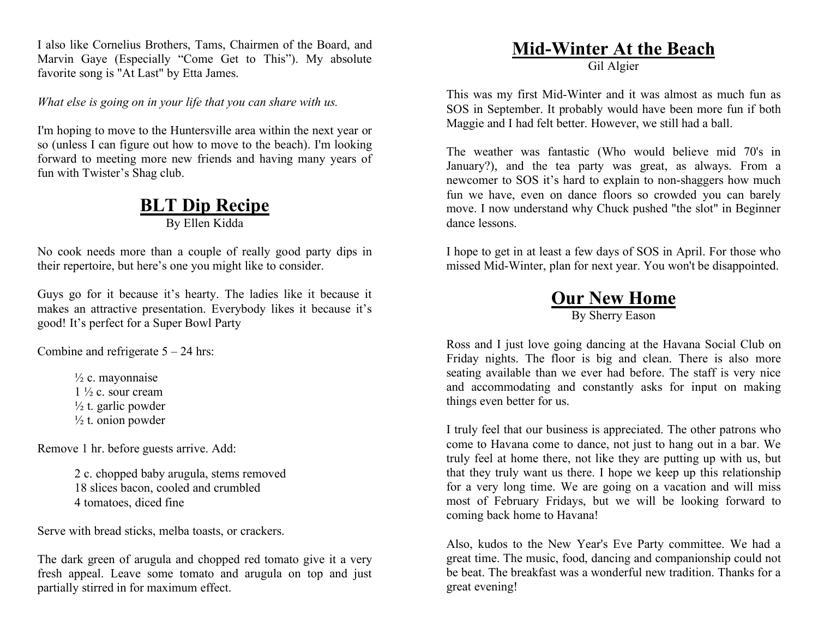I also like Cornelius Brothers, Tams, Chairmen of the Board, and Marvin Gaye (Especially "Come Get to This"). My absolute favorite song is "At Last" by Etta James.

*What else is going on in your life that you can share with us.*

I'm hoping to move to the Huntersville area within the next year or so (unless I can figure out how to move to the beach). I'm looking forward to meeting more new friends and having many years of fun with Twister's Shag club.

# **BLT Dip Recipe**

By Ellen Kidda

No cook needs more than a couple of really good party dips in their repertoire, but here's one you might like to consider.

Guys go for it because it's hearty. The ladies like it because it makes an attractive presentation. Everybody likes it because it's good! It's perfect for a Super Bowl Party

Combine and refrigerate  $5 - 24$  hrs:

 $\frac{1}{2}$  c. mayonnaise  $1\frac{1}{2}$  c. sour cream  $\frac{1}{2}$  t. garlic powder  $\frac{1}{2}$  t. onion powder

Remove 1 hr. before guests arrive. Add:

2 c. chopped baby arugula, stems removed 18 slices bacon, cooled and crumbled 4 tomatoes, diced fine

Serve with bread sticks, melba toasts, or crackers.

The dark green of arugula and chopped red tomato give it a very fresh appeal. Leave some tomato and arugula on top and just partially stirred in for maximum effect.

#### **Mid-Winter At the Beach** Gil Algier

This was my first Mid-Winter and it was almost as much fun as SOS in September. It probably would have been more fun if both Maggie and I had felt better. However, we still had a ball.

The weather was fantastic (Who would believe mid 70's in January?), and the tea party was great, as always. From a newcomer to SOS it's hard to explain to non-shaggers how much fun we have, even on dance floors so crowded you can barely move. I now understand why Chuck pushed "the slot" in Beginner dance lessons.

I hope to get in at least a few days of SOS in April. For those who missed Mid-Winter, plan for next year. You won't be disappointed.

#### **Our New Home** By Sherry Eason

Ross and I just love going dancing at the Havana Social Club on Friday nights. The floor is big and clean. There is also more seating available than we ever had before. The staff is very nice and accommodating and constantly asks for input on making things even better for us.

I truly feel that our business is appreciated. The other patrons who come to Havana come to dance, not just to hang out in a bar. We truly feel at home there, not like they are putting up with us, but that they truly want us there. I hope we keep up this relationship for a very long time. We are going on a vacation and will miss most of February Fridays, but we will be looking forward to coming back home to Havana!

Also, kudos to the New Year's Eve Party committee. We had a great time. The music, food, dancing and companionship could not be beat. The breakfast was a wonderful new tradition. Thanks for a great evening!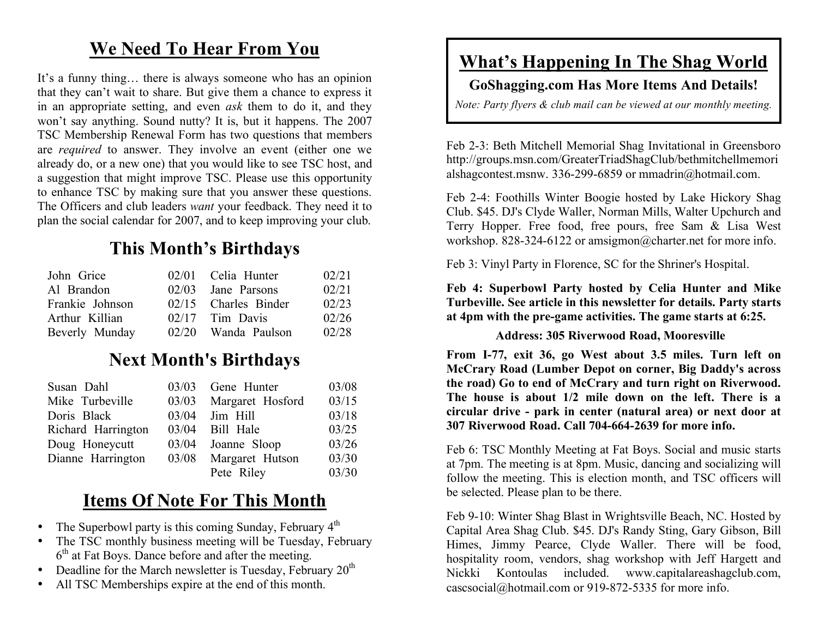# **We Need To Hear From You**

It's a funny thing… there is always someone who has an opinion that they can't wait to share. But give them a chance to express it in an appropriate setting, and even *ask* them to do it, and they won't say anything. Sound nutty? It is, but it happens. The 2007 TSC Membership Renewal Form has two questions that members are *required* to answer. They involve an event (either one we already do, or a new one) that you would like to see TSC host, and a suggestion that might improve TSC. Please use this opportunity to enhance TSC by making sure that you answer these questions. The Officers and club leaders *want* your feedback. They need it to plan the social calendar for 2007, and to keep improving your club.

# **This Month's Birthdays**

| John Grice      | 02/01 Celia Hunter   | 02/21 |
|-----------------|----------------------|-------|
| Al Brandon      | $02/03$ Jane Parsons | 02/21 |
| Frankie Johnson | 02/15 Charles Binder | 02/23 |
| Arthur Killian  | $02/17$ Tim Davis    | 02/26 |
| Beverly Munday  | 02/20 Wanda Paulson  | 02/28 |

# **Next Month's Birthdays**

| Susan Dahl         | 03/03 | Gene Hunter            | 03/08 |
|--------------------|-------|------------------------|-------|
| Mike Turbeville    |       | 03/03 Margaret Hosford | 03/15 |
| Doris Black        | 03/04 | Jim Hill               | 03/18 |
| Richard Harrington | 03/04 | Bill Hale              | 03/25 |
| Doug Honeycutt     |       | 03/04 Joanne Sloop     | 03/26 |
| Dianne Harrington  |       | 03/08 Margaret Hutson  | 03/30 |
|                    |       | Pete Riley             | 03/30 |

# **Items Of Note For This Month**

- The Superbowl party is this coming Sunday, February  $4<sup>th</sup>$
- The TSC monthly business meeting will be Tuesday, February 6<sup>th</sup> at Fat Boys. Dance before and after the meeting.
- Deadline for the March newsletter is Tuesday, February  $20<sup>th</sup>$
- All TSC Memberships expire at the end of this month.

# **What's Happening In The Shag World**

#### **GoShagging.com Has More Items And Details!**

*Note: Party flyers & club mail can be viewed at our monthly meeting.*

Feb 2-3: Beth Mitchell Memorial Shag Invitational in Greensboro http://groups.msn.com/GreaterTriadShagClub/bethmitchellmemori alshagcontest.msnw. 336-299-6859 or mmadrin@hotmail.com.

Feb 2-4: Foothills Winter Boogie hosted by Lake Hickory Shag Club. \$45. DJ's Clyde Waller, Norman Mills, Walter Upchurch and Terry Hopper. Free food, free pours, free Sam & Lisa West workshop. 828-324-6122 or amsigmon@charter.net for more info.

Feb 3: Vinyl Party in Florence, SC for the Shriner's Hospital.

**Feb 4: Superbowl Party hosted by Celia Hunter and Mike Turbeville. See article in this newsletter for details. Party starts at 4pm with the pre-game activities. The game starts at 6:25.**

#### **Address: 305 Riverwood Road, Mooresville**

**From I-77, exit 36, go West about 3.5 miles. Turn left on McCrary Road (Lumber Depot on corner, Big Daddy's across the road) Go to end of McCrary and turn right on Riverwood. The house is about 1/2 mile down on the left. There is a circular drive - park in center (natural area) or next door at 307 Riverwood Road. Call 704-664-2639 for more info.**

Feb 6: TSC Monthly Meeting at Fat Boys. Social and music starts at 7pm. The meeting is at 8pm. Music, dancing and socializing will follow the meeting. This is election month, and TSC officers will be selected. Please plan to be there.

Feb 9-10: Winter Shag Blast in Wrightsville Beach, NC. Hosted by Capital Area Shag Club. \$45. DJ's Randy Sting, Gary Gibson, Bill Himes, Jimmy Pearce, Clyde Waller. There will be food, hospitality room, vendors, shag workshop with Jeff Hargett and Nickki Kontoulas included. www.capitalareashagclub.com, cascsocial@hotmail.com or 919-872-5335 for more info.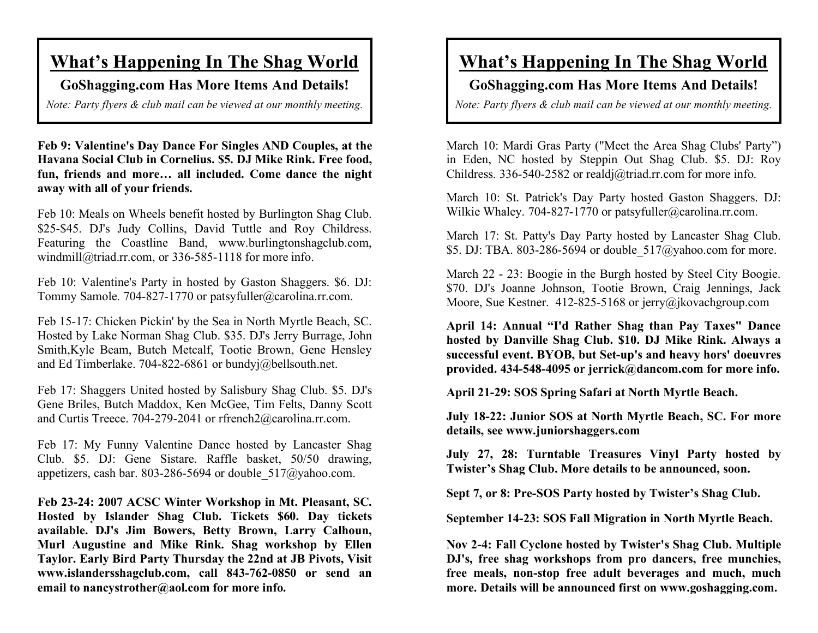# **What's Happening In The Shag World**

**GoShagging.com Has More Items And Details!**

*Note: Party flyers & club mail can be viewed at our monthly meeting.*

**Feb 9: Valentine's Day Dance For Singles AND Couples, at the Havana Social Club in Cornelius. \$5. DJ Mike Rink. Free food, fun, friends and more… all included. Come dance the night away with all of your friends.**

Feb 10: Meals on Wheels benefit hosted by Burlington Shag Club. \$25-\$45. DJ's Judy Collins, David Tuttle and Roy Childress. Featuring the Coastline Band, www.burlingtonshagclub.com, windmill@triad.rr.com, or 336-585-1118 for more info.

Feb 10: Valentine's Party in hosted by Gaston Shaggers. \$6. DJ: Tommy Samole. 704-827-1770 or patsyfuller@carolina.rr.com.

Feb 15-17: Chicken Pickin' by the Sea in North Myrtle Beach, SC. Hosted by Lake Norman Shag Club. \$35. DJ's Jerry Burrage, John Smith,Kyle Beam, Butch Metcalf, Tootie Brown, Gene Hensley and Ed Timberlake. 704-822-6861 or bundyj@bellsouth.net.

Feb 17: Shaggers United hosted by Salisbury Shag Club. \$5. DJ's Gene Briles, Butch Maddox, Ken McGee, Tim Felts, Danny Scott and Curtis Treece. 704-279-2041 or rfrench2@carolina.rr.com.

Feb 17: My Funny Valentine Dance hosted by Lancaster Shag Club. \$5. DJ: Gene Sistare. Raffle basket, 50/50 drawing, appetizers, cash bar. 803-286-5694 or double\_517@yahoo.com.

**Feb 23-24: 2007 ACSC Winter Workshop in Mt. Pleasant, SC. Hosted by Islander Shag Club. Tickets \$60. Day tickets available. DJ's Jim Bowers, Betty Brown, Larry Calhoun, Murl Augustine and Mike Rink. Shag workshop by Ellen Taylor. Early Bird Party Thursday the 22nd at JB Pivots, Visit www.islandersshagclub.com, call 843-762-0850 or send an email to nancystrother@aol.com for more info.**

# **What's Happening In The Shag World**

#### **GoShagging.com Has More Items And Details!**

*Note: Party flyers & club mail can be viewed at our monthly meeting.*

March 10: Mardi Gras Party ("Meet the Area Shag Clubs' Party") in Eden, NC hosted by Steppin Out Shag Club. \$5. DJ: Roy Childress. 336-540-2582 or realdj@triad.rr.com for more info.

March 10: St. Patrick's Day Party hosted Gaston Shaggers. DJ: Wilkie Whaley. 704-827-1770 or patsyfuller@carolina.rr.com.

March 17: St. Patty's Day Party hosted by Lancaster Shag Club. \$5. DJ: TBA. 803-286-5694 or double 517@yahoo.com for more.

March 22 - 23: Boogie in the Burgh hosted by Steel City Boogie. \$70. DJ's Joanne Johnson, Tootie Brown, Craig Jennings, Jack Moore, Sue Kestner. 412-825-5168 or jerry@jkovachgroup.com

**April 14: Annual "I'd Rather Shag than Pay Taxes" Dance hosted by Danville Shag Club. \$10. DJ Mike Rink. Always a successful event. BYOB, but Set-up's and heavy hors' doeuvres provided. 434-548-4095 or jerrick@dancom.com for more info.**

**April 21-29: SOS Spring Safari at North Myrtle Beach.**

**July 18-22: Junior SOS at North Myrtle Beach, SC. For more details, see www.juniorshaggers.com**

**July 27, 28: Turntable Treasures Vinyl Party hosted by Twister's Shag Club. More details to be announced, soon.**

**Sept 7, or 8: Pre-SOS Party hosted by Twister's Shag Club.**

**September 14-23: SOS Fall Migration in North Myrtle Beach.**

**Nov 2-4: Fall Cyclone hosted by Twister's Shag Club. Multiple DJ's, free shag workshops from pro dancers, free munchies, free meals, non-stop free adult beverages and much, much more. Details will be announced first on www.goshagging.com.**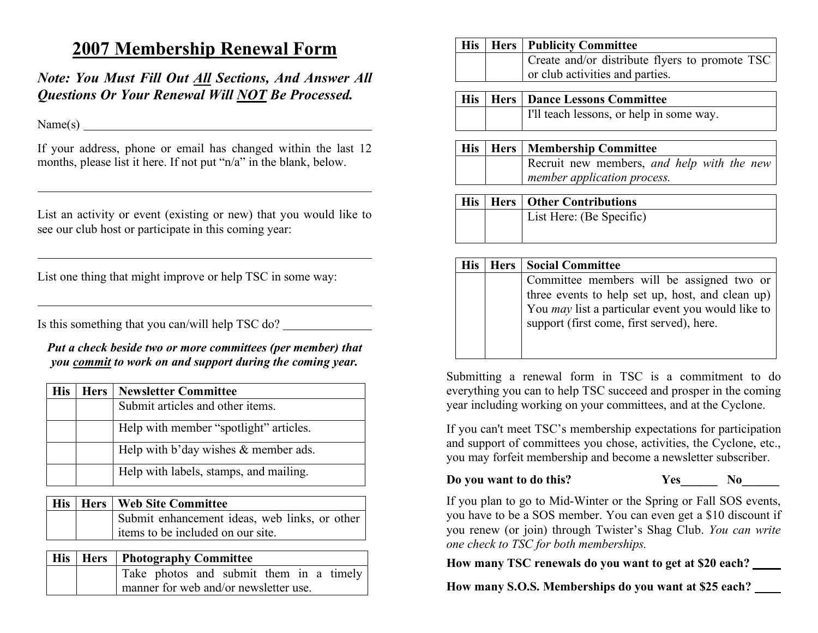## **2007 Membership Renewal Form**

*Note: You Must Fill Out All Sections, And Answer All Questions Or Your Renewal Will NOT Be Processed.*

Name(s)

If your address, phone or email has changed within the last 12 months, please list it here. If not put "n/a" in the blank, below.

List an activity or event (existing or new) that you would like to see our club host or participate in this coming year:

List one thing that might improve or help TSC in some way:

Is this something that you can/will help TSC do?

*Put a check beside two or more committees (per member) that you commit to work on and support during the coming year.*

| <b>His</b> | <b>Hers</b> | <b>Newsletter Committee</b>                |
|------------|-------------|--------------------------------------------|
|            |             | Submit articles and other items.           |
|            |             | Help with member "spotlight" articles.     |
|            |             | Help with $b'$ day wishes $\&$ member ads. |
|            |             | Help with labels, stamps, and mailing.     |

|  | His   Hers   Web Site Committee               |
|--|-----------------------------------------------|
|  | Submit enhancement ideas, web links, or other |
|  | items to be included on our site.             |

|  | His   Hers   Photography Committee      |  |
|--|-----------------------------------------|--|
|  | Take photos and submit them in a timely |  |
|  | manner for web and/or newsletter use.   |  |

|  | His   Hers   Publicity Committee               |
|--|------------------------------------------------|
|  | Create and/or distribute flyers to promote TSC |
|  | or club activities and parties.                |

|  | His   Hers   Dance Lessons Committee     |  |
|--|------------------------------------------|--|
|  | I'll teach lessons, or help in some way. |  |

|  | His   Hers   Membership Committee                                         |
|--|---------------------------------------------------------------------------|
|  | Recruit new members, and help with the new<br>member application process. |
|  | <b>His   Hers   Other Contributions</b>                                   |

|  | List Here: (Be Specific) |
|--|--------------------------|
|  |                          |
|  |                          |

| <b>His</b> | Hers | <b>Social Committee</b>                                  |  |
|------------|------|----------------------------------------------------------|--|
|            |      | Committee members will be assigned two or                |  |
|            |      | three events to help set up, host, and clean up)         |  |
|            |      | You <i>may</i> list a particular event you would like to |  |
|            |      | support (first come, first served), here.                |  |
|            |      |                                                          |  |

Submitting a renewal form in TSC is a commitment to do everything you can to help TSC succeed and prosper in the coming year including working on your committees, and at the Cyclone.

If you can't meet TSC's membership expectations for participation and support of committees you chose, activities, the Cyclone, etc., you may forfeit membership and become a newsletter subscriber.

**Do you want to do this? Yes\_\_\_\_\_\_ No\_\_\_\_\_\_**

If you plan to go to Mid-Winter or the Spring or Fall SOS events, you have to be a SOS member. You can even get a \$10 discount if you renew (or join) through Twister's Shag Club. *You can write one check to TSC for both memberships.*

**How many TSC renewals do you want to get at \$20 each?** 

**How many S.O.S. Memberships do you want at \$25 each?**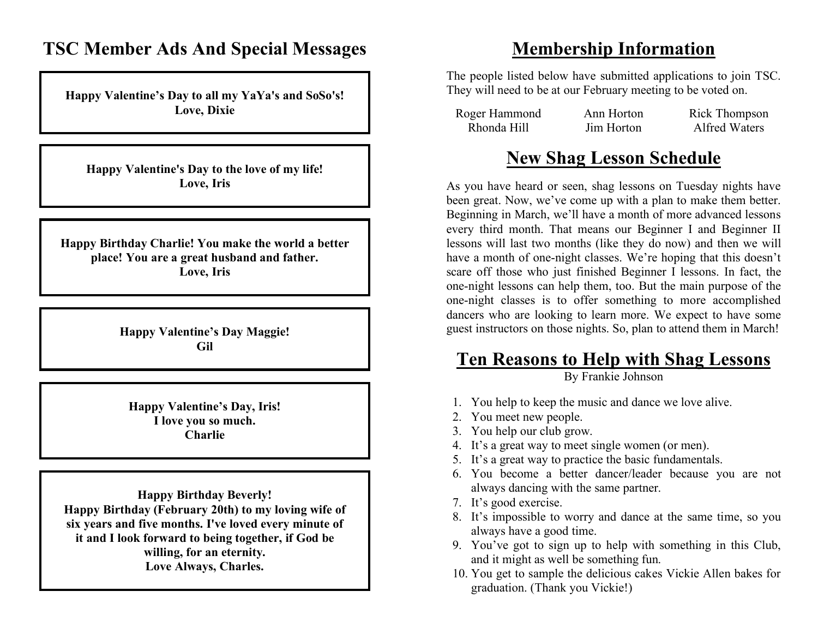### **TSC Member Ads And Special Messages**

**Happy Valentine's Day to all my YaYa's and SoSo's! Love, Dixie**

**Happy Valentine's Day to the love of my life! Love, Iris**

**Happy Birthday Charlie! You make the world a better place! You are a great husband and father. Love, Iris**

> **Happy Valentine's Day Maggie! Gil**

**Happy Valentine's Day, Iris! I love you so much. Charlie**

**Happy Birthday Beverly! Happy Birthday (February 20th) to my loving wife of six years and five months. I've loved every minute of it and I look forward to being together, if God be willing, for an eternity. Love Always, Charles.**

### **Membership Information**

The people listed below have submitted applications to join TSC. They will need to be at our February meeting to be voted on.

| Roger Hammond | Ann Horton | Rick Thompson        |
|---------------|------------|----------------------|
| Rhonda Hill   | Jim Horton | <b>Alfred Waters</b> |

# **New Shag Lesson Schedule**

As you have heard or seen, shag lessons on Tuesday nights have been great. Now, we've come up with a plan to make them better. Beginning in March, we'll have a month of more advanced lessons every third month. That means our Beginner I and Beginner II lessons will last two months (like they do now) and then we will have a month of one-night classes. We're hoping that this doesn't scare off those who just finished Beginner I lessons. In fact, the one-night lessons can help them, too. But the main purpose of the one-night classes is to offer something to more accomplished dancers who are looking to learn more. We expect to have some guest instructors on those nights. So, plan to attend them in March!

# **Ten Reasons to Help with Shag Lessons**

By Frankie Johnson

- 1. You help to keep the music and dance we love alive.
- 2. You meet new people.
- 3. You help our club grow.
- 4. It's a great way to meet single women (or men).
- 5. It's a great way to practice the basic fundamentals.
- 6. You become a better dancer/leader because you are not always dancing with the same partner.
- 7. It's good exercise.
- 8. It's impossible to worry and dance at the same time, so you always have a good time.
- 9. You've got to sign up to help with something in this Club, and it might as well be something fun.
- 10. You get to sample the delicious cakes Vickie Allen bakes for graduation. (Thank you Vickie!)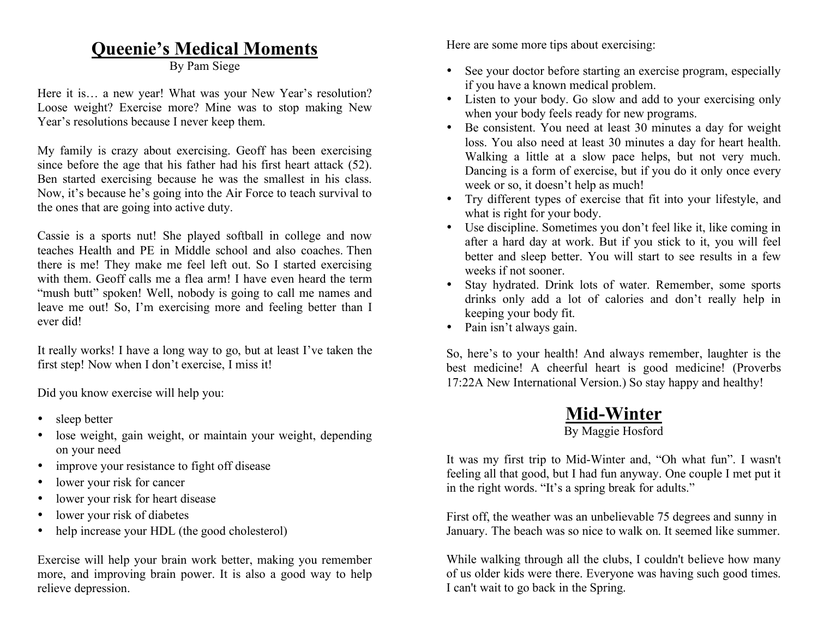## **Queenie's Medical Moments**

By Pam Siege

Here it is… a new year! What was your New Year's resolution? Loose weight? Exercise more? Mine was to stop making New Year's resolutions because I never keep them.

My family is crazy about exercising. Geoff has been exercising since before the age that his father had his first heart attack (52). Ben started exercising because he was the smallest in his class. Now, it's because he's going into the Air Force to teach survival to the ones that are going into active duty.

Cassie is a sports nut! She played softball in college and now teaches Health and PE in Middle school and also coaches. Then there is me! They make me feel left out. So I started exercising with them. Geoff calls me a flea arm! I have even heard the term "mush butt" spoken! Well, nobody is going to call me names and leave me out! So, I'm exercising more and feeling better than I ever did!

It really works! I have a long way to go, but at least I've taken the first step! Now when I don't exercise, I miss it!

Did you know exercise will help you:

- sleep better
- lose weight, gain weight, or maintain your weight, depending on your need
- improve your resistance to fight off disease
- lower your risk for cancer
- lower your risk for heart disease
- lower your risk of diabetes
- help increase your HDL (the good cholesterol)

Exercise will help your brain work better, making you remember more, and improving brain power. It is also a good way to help relieve depression.

Here are some more tips about exercising:

- See your doctor before starting an exercise program, especially if you have a known medical problem.
- Listen to your body. Go slow and add to your exercising only when your body feels ready for new programs.
- Be consistent. You need at least 30 minutes a day for weight loss. You also need at least 30 minutes a day for heart health. Walking a little at a slow pace helps, but not very much. Dancing is a form of exercise, but if you do it only once every week or so, it doesn't help as much!
- Try different types of exercise that fit into your lifestyle, and what is right for your body.
- Use discipline. Sometimes you don't feel like it, like coming in after a hard day at work. But if you stick to it, you will feel better and sleep better. You will start to see results in a few weeks if not sooner.
- Stay hydrated. Drink lots of water. Remember, some sports drinks only add a lot of calories and don't really help in keeping your body fit.
- Pain isn't always gain.

So, here's to your health! And always remember, laughter is the best medicine! A cheerful heart is good medicine! (Proverbs 17:22A New International Version.) So stay happy and healthy!

# **Mid-Winter**

#### By Maggie Hosford

It was my first trip to Mid-Winter and, "Oh what fun". I wasn't feeling all that good, but I had fun anyway. One couple I met put it in the right words. "It's a spring break for adults."

First off, the weather was an unbelievable 75 degrees and sunny in January. The beach was so nice to walk on. It seemed like summer.

While walking through all the clubs, I couldn't believe how many of us older kids were there. Everyone was having such good times. I can't wait to go back in the Spring.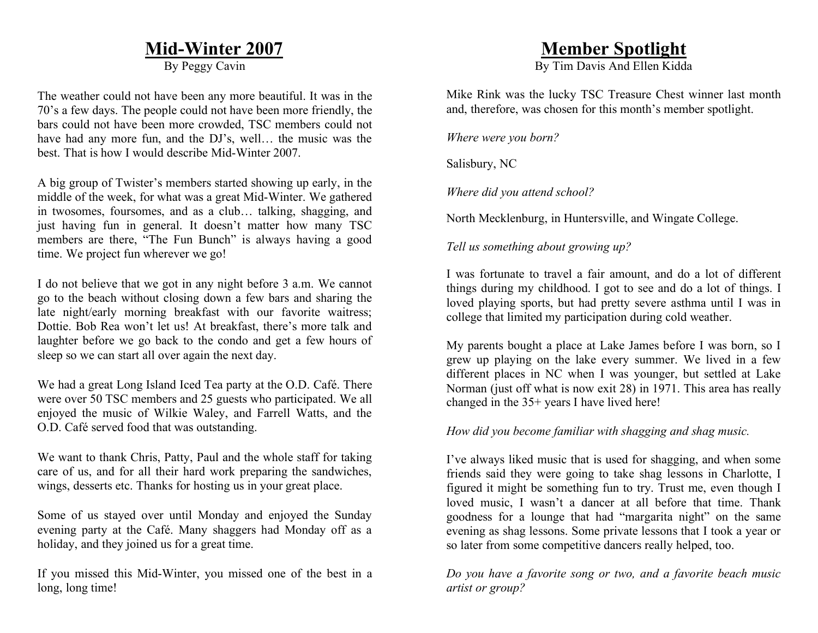### **Mid-Winter 2007**

By Peggy Cavin

The weather could not have been any more beautiful. It was in the 70's a few days. The people could not have been more friendly, the bars could not have been more crowded, TSC members could not have had any more fun, and the DJ's, well... the music was the best. That is how I would describe Mid-Winter 2007.

A big group of Twister's members started showing up early, in the middle of the week, for what was a great Mid-Winter. We gathered in twosomes, foursomes, and as a club… talking, shagging, and just having fun in general. It doesn't matter how many TSC members are there, "The Fun Bunch" is always having a good time. We project fun wherever we go!

I do not believe that we got in any night before 3 a.m. We cannot go to the beach without closing down a few bars and sharing the late night/early morning breakfast with our favorite waitress; Dottie. Bob Rea won't let us! At breakfast, there's more talk and laughter before we go back to the condo and get a few hours of sleep so we can start all over again the next day.

We had a great Long Island Iced Tea party at the O.D. Café. There were over 50 TSC members and 25 guests who participated. We all enjoyed the music of Wilkie Waley, and Farrell Watts, and the O.D. Café served food that was outstanding.

We want to thank Chris, Patty, Paul and the whole staff for taking care of us, and for all their hard work preparing the sandwiches, wings, desserts etc. Thanks for hosting us in your great place.

Some of us stayed over until Monday and enjoyed the Sunday evening party at the Café. Many shaggers had Monday off as a holiday, and they joined us for a great time.

If you missed this Mid-Winter, you missed one of the best in a long, long time!

### **Member Spotlight**

By Tim Davis And Ellen Kidda

Mike Rink was the lucky TSC Treasure Chest winner last month and, therefore, was chosen for this month's member spotlight.

*Where were you born?*

Salisbury, NC

*Where did you attend school?*

North Mecklenburg, in Huntersville, and Wingate College.

*Tell us something about growing up?*

I was fortunate to travel a fair amount, and do a lot of different things during my childhood. I got to see and do a lot of things. I loved playing sports, but had pretty severe asthma until I was in college that limited my participation during cold weather.

My parents bought a place at Lake James before I was born, so I grew up playing on the lake every summer. We lived in a few different places in NC when I was younger, but settled at Lake Norman (just off what is now exit 28) in 1971. This area has really changed in the 35+ years I have lived here!

*How did you become familiar with shagging and shag music.*

I've always liked music that is used for shagging, and when some friends said they were going to take shag lessons in Charlotte, I figured it might be something fun to try. Trust me, even though I loved music, I wasn't a dancer at all before that time. Thank goodness for a lounge that had "margarita night" on the same evening as shag lessons. Some private lessons that I took a year or so later from some competitive dancers really helped, too.

*Do you have a favorite song or two, and a favorite beach music artist or group?*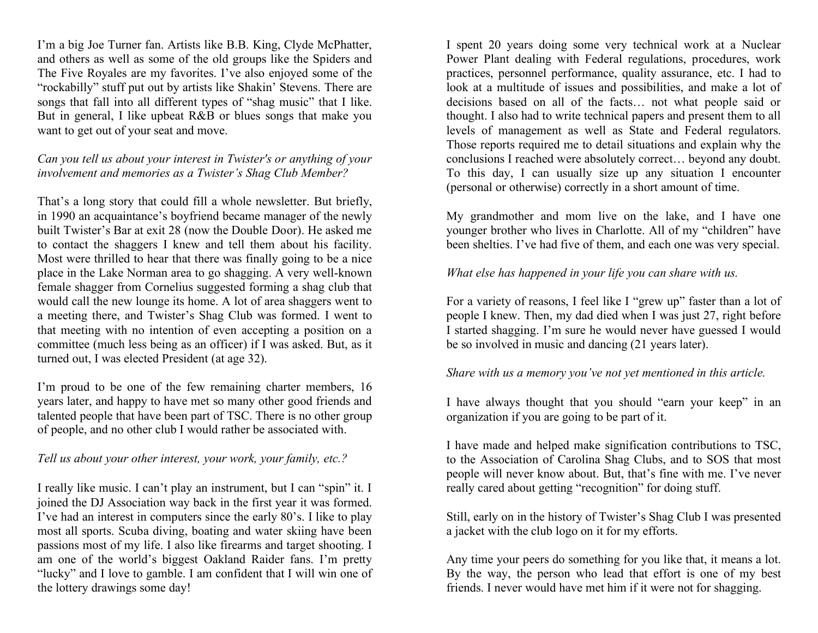I'm a big Joe Turner fan. Artists like B.B. King, Clyde McPhatter, and others as well as some of the old groups like the Spiders and The Five Royales are my favorites. I've also enjoyed some of the "rockabilly" stuff put out by artists like Shakin' Stevens. There are songs that fall into all different types of "shag music" that I like. But in general, I like upbeat R&B or blues songs that make you want to get out of your seat and move.

#### *Can you tell us about your interest in Twister's or anything of your involvement and memories as a Twister's Shag Club Member?*

That's a long story that could fill a whole newsletter. But briefly, in 1990 an acquaintance's boyfriend became manager of the newly built Twister's Bar at exit 28 (now the Double Door). He asked me to contact the shaggers I knew and tell them about his facility. Most were thrilled to hear that there was finally going to be a nice place in the Lake Norman area to go shagging. A very well-known female shagger from Cornelius suggested forming a shag club that would call the new lounge its home. A lot of area shaggers went to a meeting there, and Twister's Shag Club was formed. I went to that meeting with no intention of even accepting a position on a committee (much less being as an officer) if I was asked. But, as it turned out, I was elected President (at age 32).

I'm proud to be one of the few remaining charter members, 16 years later, and happy to have met so many other good friends and talented people that have been part of TSC. There is no other group of people, and no other club I would rather be associated with.

#### *Tell us about your other interest, your work, your family, etc.?*

I really like music. I can't play an instrument, but I can "spin" it. I joined the DJ Association way back in the first year it was formed. I've had an interest in computers since the early 80's. I like to play most all sports. Scuba diving, boating and water skiing have been passions most of my life. I also like firearms and target shooting. I am one of the world's biggest Oakland Raider fans. I'm pretty "lucky" and I love to gamble. I am confident that I will win one of the lottery drawings some day!

I spent 20 years doing some very technical work at a Nuclear Power Plant dealing with Federal regulations, procedures, work practices, personnel performance, quality assurance, etc. I had to look at a multitude of issues and possibilities, and make a lot of decisions based on all of the facts… not what people said or thought. I also had to write technical papers and present them to all levels of management as well as State and Federal regulators. Those reports required me to detail situations and explain why the conclusions I reached were absolutely correct… beyond any doubt. To this day, I can usually size up any situation I encounter (personal or otherwise) correctly in a short amount of time.

My grandmother and mom live on the lake, and I have one younger brother who lives in Charlotte. All of my "children" have been shelties. I've had five of them, and each one was very special.

#### *What else has happened in your life you can share with us.*

For a variety of reasons, I feel like I "grew up" faster than a lot of people I knew. Then, my dad died when I was just 27, right before I started shagging. I'm sure he would never have guessed I would be so involved in music and dancing (21 years later).

#### *Share with us a memory you've not yet mentioned in this article.*

I have always thought that you should "earn your keep" in an organization if you are going to be part of it.

I have made and helped make signification contributions to TSC, to the Association of Carolina Shag Clubs, and to SOS that most people will never know about. But, that's fine with me. I've never really cared about getting "recognition" for doing stuff.

Still, early on in the history of Twister's Shag Club I was presented a jacket with the club logo on it for my efforts.

Any time your peers do something for you like that, it means a lot. By the way, the person who lead that effort is one of my best friends. I never would have met him if it were not for shagging.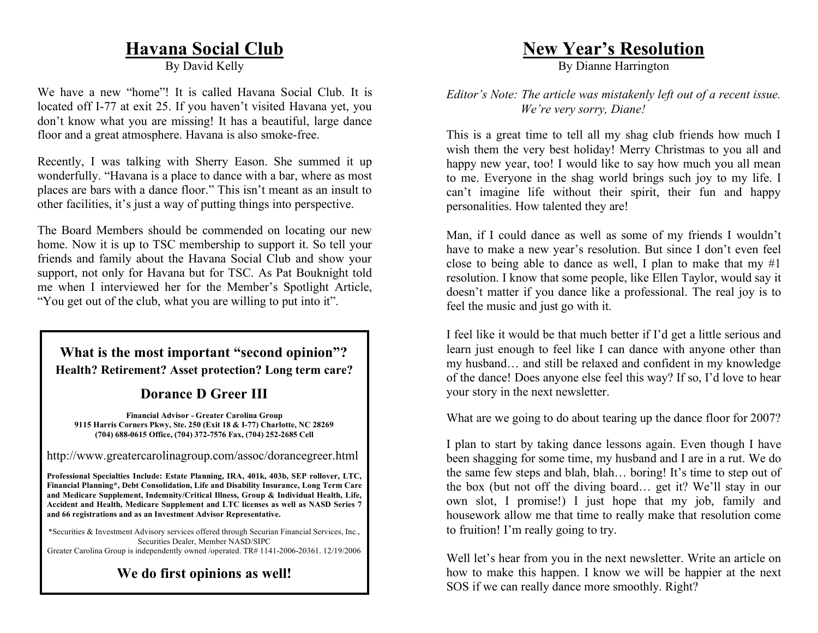## **Havana Social Club**

By David Kelly

We have a new "home"! It is called Havana Social Club. It is located off I-77 at exit 25. If you haven't visited Havana yet, you don't know what you are missing! It has a beautiful, large dance floor and a great atmosphere. Havana is also smoke-free.

Recently, I was talking with Sherry Eason. She summed it up wonderfully. "Havana is a place to dance with a bar, where as most places are bars with a dance floor." This isn't meant as an insult to other facilities, it's just a way of putting things into perspective.

The Board Members should be commended on locating our new home. Now it is up to TSC membership to support it. So tell your friends and family about the Havana Social Club and show your support, not only for Havana but for TSC. As Pat Bouknight told me when I interviewed her for the Member's Spotlight Article, "You get out of the club, what you are willing to put into it".

#### **What is the most important "second opinion"? Health? Retirement? Asset protection? Long term care?**

#### **Dorance D Greer III**

**Financial Advisor - Greater Carolina Group 9115 Harris Corners Pkwy, Ste. 250 (Exit 18 & I-77) Charlotte, NC 28269 (704) 688-0615 Office, (704) 372-7576 Fax, (704) 252-2685 Cell**

http://www.greatercarolinagroup.com/assoc/dorancegreer.html

**Professional Specialties Include: Estate Planning, IRA, 401k, 403b, SEP rollover, LTC, Financial Planning\*, Debt Consolidation, Life and Disability Insurance, Long Term Care and Medicare Supplement, Indemnity/Critical Illness, Group & Individual Health, Life, Accident and Health, Medicare Supplement and LTC licenses as well as NASD Series 7 and 66 registrations and as an Investment Advisor Representative.**

\*Securities & Investment Advisory services offered through Securian Financial Services, Inc., Securities Dealer, Member NASD/SIPC Greater Carolina Group is independently owned /operated. TR# 1141-2006-20361. 12/19/2006

**We do first opinions as well!**

### **New Year's Resolution**

By Dianne Harrington

*Editor's Note: The article was mistakenly left out of a recent issue. We're very sorry, Diane!*

This is a great time to tell all my shag club friends how much I wish them the very best holiday! Merry Christmas to you all and happy new year, too! I would like to say how much you all mean to me. Everyone in the shag world brings such joy to my life. I can't imagine life without their spirit, their fun and happy personalities. How talented they are!

Man, if I could dance as well as some of my friends I wouldn't have to make a new year's resolution. But since I don't even feel close to being able to dance as well. I plan to make that my  $#1$ resolution. I know that some people, like Ellen Taylor, would say it doesn't matter if you dance like a professional. The real joy is to feel the music and just go with it.

I feel like it would be that much better if I'd get a little serious and learn just enough to feel like I can dance with anyone other than my husband… and still be relaxed and confident in my knowledge of the dance! Does anyone else feel this way? If so, I'd love to hear your story in the next newsletter.

What are we going to do about tearing up the dance floor for 2007?

I plan to start by taking dance lessons again. Even though I have been shagging for some time, my husband and I are in a rut. We do the same few steps and blah, blah… boring! It's time to step out of the box (but not off the diving board… get it? We'll stay in our own slot, I promise!) I just hope that my job, family and housework allow me that time to really make that resolution come to fruition! I'm really going to try.

Well let's hear from you in the next newsletter. Write an article on how to make this happen. I know we will be happier at the next SOS if we can really dance more smoothly. Right?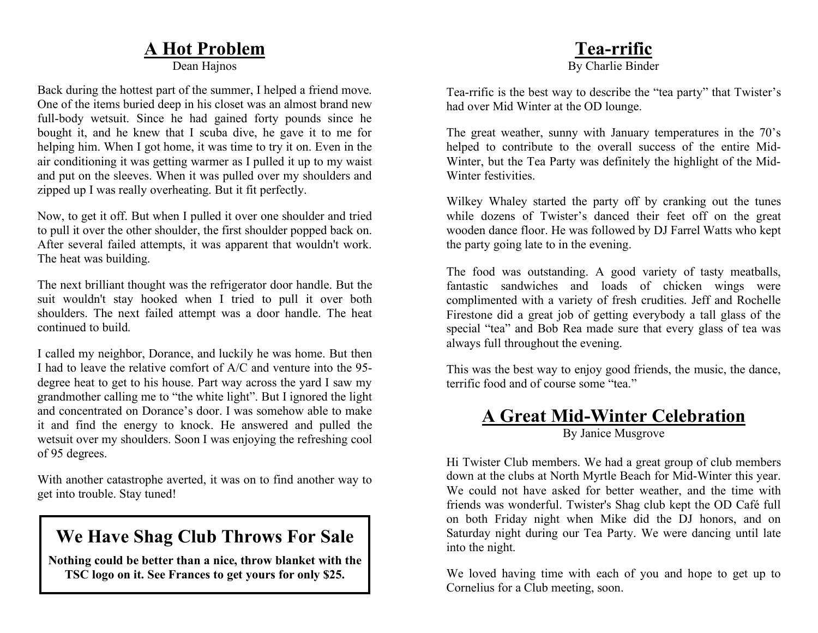# **A Hot Problem**

Dean Hajnos

Back during the hottest part of the summer, I helped a friend move. One of the items buried deep in his closet was an almost brand new full-body wetsuit. Since he had gained forty pounds since he bought it, and he knew that I scuba dive, he gave it to me for helping him. When I got home, it was time to try it on. Even in the air conditioning it was getting warmer as I pulled it up to my waist and put on the sleeves. When it was pulled over my shoulders and zipped up I was really overheating. But it fit perfectly.

Now, to get it off. But when I pulled it over one shoulder and tried to pull it over the other shoulder, the first shoulder popped back on. After several failed attempts, it was apparent that wouldn't work. The heat was building.

The next brilliant thought was the refrigerator door handle. But the suit wouldn't stay hooked when I tried to pull it over both shoulders. The next failed attempt was a door handle. The heat continued to build.

I called my neighbor, Dorance, and luckily he was home. But then I had to leave the relative comfort of A/C and venture into the 95 degree heat to get to his house. Part way across the yard I saw my grandmother calling me to "the white light". But I ignored the light and concentrated on Dorance's door. I was somehow able to make it and find the energy to knock. He answered and pulled the wetsuit over my shoulders. Soon I was enjoying the refreshing cool of 95 degrees.

With another catastrophe averted, it was on to find another way to get into trouble. Stay tuned!

# **We Have Shag Club Throws For Sale**

**Nothing could be better than a nice, throw blanket with the TSC logo on it. See Frances to get yours for only \$25.**

#### **Tea-rrific** By Charlie Binder

Tea-rrific is the best way to describe the "tea party" that Twister's had over Mid Winter at the OD lounge.

The great weather, sunny with January temperatures in the 70's helped to contribute to the overall success of the entire Mid-Winter, but the Tea Party was definitely the highlight of the Mid-Winter festivities.

Wilkey Whaley started the party off by cranking out the tunes while dozens of Twister's danced their feet off on the great wooden dance floor. He was followed by DJ Farrel Watts who kept the party going late to in the evening.

The food was outstanding. A good variety of tasty meatballs, fantastic sandwiches and loads of chicken wings were complimented with a variety of fresh crudities. Jeff and Rochelle Firestone did a great job of getting everybody a tall glass of the special "tea" and Bob Rea made sure that every glass of tea was always full throughout the evening.

This was the best way to enjoy good friends, the music, the dance, terrific food and of course some "tea."

### **A Great Mid-Winter Celebration**

By Janice Musgrove

Hi Twister Club members. We had a great group of club members down at the clubs at North Myrtle Beach for Mid-Winter this year. We could not have asked for better weather, and the time with friends was wonderful. Twister's Shag club kept the OD Café full on both Friday night when Mike did the DJ honors, and on Saturday night during our Tea Party. We were dancing until late into the night.

We loved having time with each of you and hope to get up to Cornelius for a Club meeting, soon.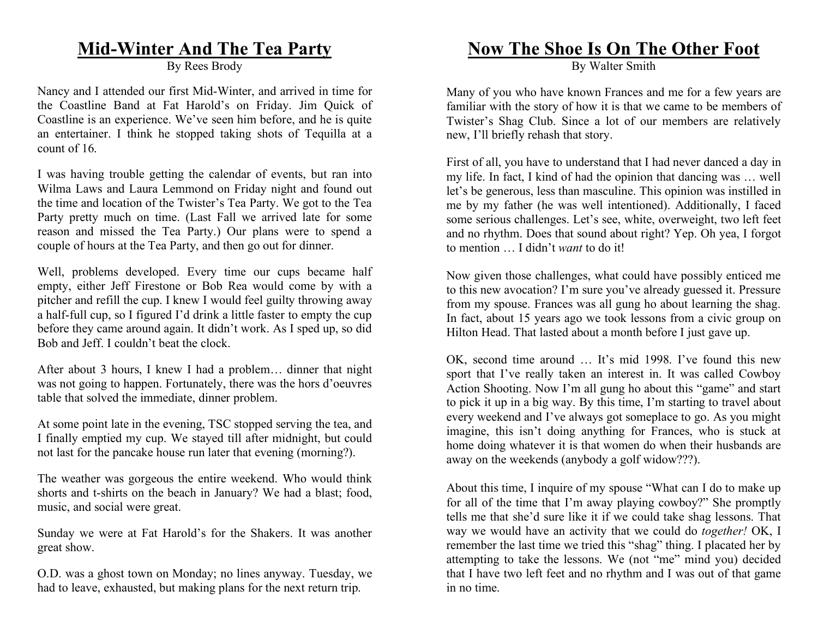### **Mid-Winter And The Tea Party**

By Rees Brody

Nancy and I attended our first Mid-Winter, and arrived in time for the Coastline Band at Fat Harold's on Friday. Jim Quick of Coastline is an experience. We've seen him before, and he is quite an entertainer. I think he stopped taking shots of Tequilla at a count of 16.

I was having trouble getting the calendar of events, but ran into Wilma Laws and Laura Lemmond on Friday night and found out the time and location of the Twister's Tea Party. We got to the Tea Party pretty much on time. (Last Fall we arrived late for some reason and missed the Tea Party.) Our plans were to spend a couple of hours at the Tea Party, and then go out for dinner.

Well, problems developed. Every time our cups became half empty, either Jeff Firestone or Bob Rea would come by with a pitcher and refill the cup. I knew I would feel guilty throwing away a half-full cup, so I figured I'd drink a little faster to empty the cup before they came around again. It didn't work. As I sped up, so did Bob and Jeff. I couldn't beat the clock.

After about 3 hours, I knew I had a problem… dinner that night was not going to happen. Fortunately, there was the hors d'oeuvres table that solved the immediate, dinner problem.

At some point late in the evening, TSC stopped serving the tea, and I finally emptied my cup. We stayed till after midnight, but could not last for the pancake house run later that evening (morning?).

The weather was gorgeous the entire weekend. Who would think shorts and t-shirts on the beach in January? We had a blast; food, music, and social were great.

Sunday we were at Fat Harold's for the Shakers. It was another great show.

O.D. was a ghost town on Monday; no lines anyway. Tuesday, we had to leave, exhausted, but making plans for the next return trip.

### **Now The Shoe Is On The Other Foot**

By Walter Smith

Many of you who have known Frances and me for a few years are familiar with the story of how it is that we came to be members of Twister's Shag Club. Since a lot of our members are relatively new, I'll briefly rehash that story.

First of all, you have to understand that I had never danced a day in my life. In fact, I kind of had the opinion that dancing was … well let's be generous, less than masculine. This opinion was instilled in me by my father (he was well intentioned). Additionally, I faced some serious challenges. Let's see, white, overweight, two left feet and no rhythm. Does that sound about right? Yep. Oh yea, I forgot to mention … I didn't *want* to do it!

Now given those challenges, what could have possibly enticed me to this new avocation? I'm sure you've already guessed it. Pressure from my spouse. Frances was all gung ho about learning the shag. In fact, about 15 years ago we took lessons from a civic group on Hilton Head. That lasted about a month before I just gave up.

OK, second time around … It's mid 1998. I've found this new sport that I've really taken an interest in. It was called Cowboy Action Shooting. Now I'm all gung ho about this "game" and start to pick it up in a big way. By this time, I'm starting to travel about every weekend and I've always got someplace to go. As you might imagine, this isn't doing anything for Frances, who is stuck at home doing whatever it is that women do when their husbands are away on the weekends (anybody a golf widow???).

About this time, I inquire of my spouse "What can I do to make up for all of the time that I'm away playing cowboy?" She promptly tells me that she'd sure like it if we could take shag lessons. That way we would have an activity that we could do *together!* OK, I remember the last time we tried this "shag" thing. I placated her by attempting to take the lessons. We (not "me" mind you) decided that I have two left feet and no rhythm and I was out of that game in no time.